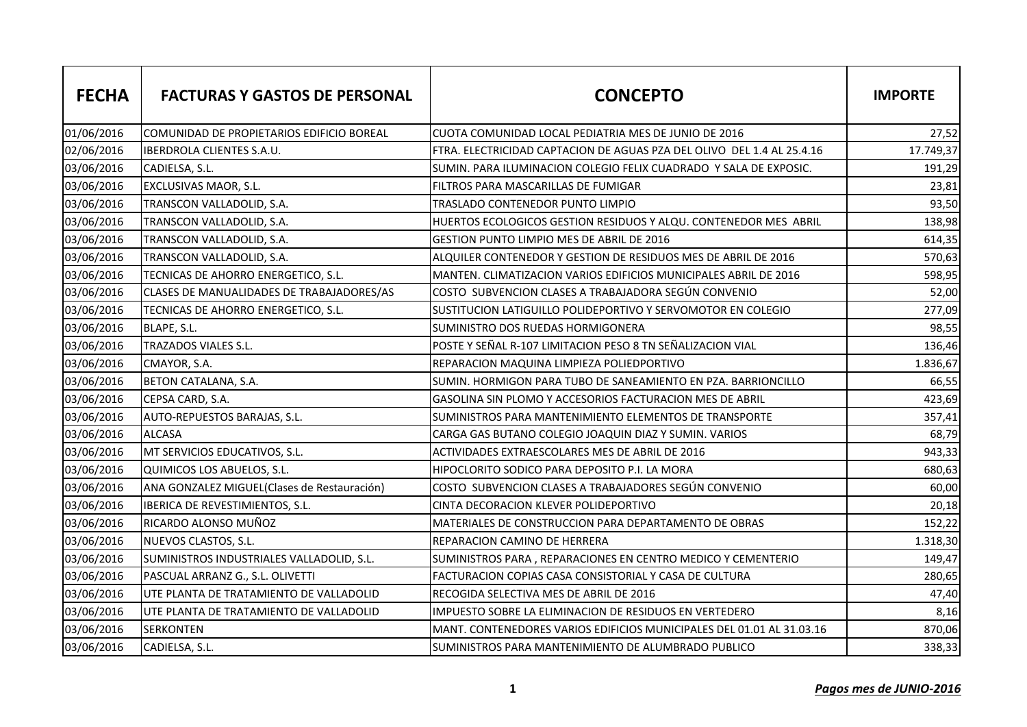| <b>FECHA</b> | <b>FACTURAS Y GASTOS DE PERSONAL</b>        | <b>CONCEPTO</b>                                                        | <b>IMPORTE</b> |
|--------------|---------------------------------------------|------------------------------------------------------------------------|----------------|
| 01/06/2016   | COMUNIDAD DE PROPIETARIOS EDIFICIO BOREAL   | CUOTA COMUNIDAD LOCAL PEDIATRIA MES DE JUNIO DE 2016                   | 27,52          |
| 02/06/2016   | IBERDROLA CLIENTES S.A.U.                   | FTRA. ELECTRICIDAD CAPTACION DE AGUAS PZA DEL OLIVO DEL 1.4 AL 25.4.16 | 17.749,37      |
| 03/06/2016   | CADIELSA, S.L.                              | SUMIN. PARA ILUMINACION COLEGIO FELIX CUADRADO Y SALA DE EXPOSIC.      | 191,29         |
| 03/06/2016   | EXCLUSIVAS MAOR, S.L.                       | FILTROS PARA MASCARILLAS DE FUMIGAR                                    | 23,81          |
| 03/06/2016   | TRANSCON VALLADOLID, S.A.                   | TRASLADO CONTENEDOR PUNTO LIMPIO                                       | 93,50          |
| 03/06/2016   | TRANSCON VALLADOLID, S.A.                   | HUERTOS ECOLOGICOS GESTION RESIDUOS Y ALQU. CONTENEDOR MES ABRIL       | 138,98         |
| 03/06/2016   | TRANSCON VALLADOLID, S.A.                   | GESTION PUNTO LIMPIO MES DE ABRIL DE 2016                              | 614,35         |
| 03/06/2016   | TRANSCON VALLADOLID, S.A.                   | ALQUILER CONTENEDOR Y GESTION DE RESIDUOS MES DE ABRIL DE 2016         | 570,63         |
| 03/06/2016   | TECNICAS DE AHORRO ENERGETICO, S.L.         | MANTEN. CLIMATIZACION VARIOS EDIFICIOS MUNICIPALES ABRIL DE 2016       | 598,95         |
| 03/06/2016   | CLASES DE MANUALIDADES DE TRABAJADORES/AS   | COSTO SUBVENCION CLASES A TRABAJADORA SEGÚN CONVENIO                   | 52,00          |
| 03/06/2016   | TECNICAS DE AHORRO ENERGETICO, S.L.         | SUSTITUCION LATIGUILLO POLIDEPORTIVO Y SERVOMOTOR EN COLEGIO           | 277,09         |
| 03/06/2016   | BLAPE, S.L.                                 | SUMINISTRO DOS RUEDAS HORMIGONERA                                      | 98,55          |
| 03/06/2016   | TRAZADOS VIALES S.L.                        | POSTE Y SEÑAL R-107 LIMITACION PESO 8 TN SEÑALIZACION VIAL             | 136,46         |
| 03/06/2016   | CMAYOR, S.A.                                | REPARACION MAQUINA LIMPIEZA POLIEDPORTIVO                              | 1.836,67       |
| 03/06/2016   | BETON CATALANA, S.A.                        | SUMIN. HORMIGON PARA TUBO DE SANEAMIENTO EN PZA. BARRIONCILLO          | 66,55          |
| 03/06/2016   | CEPSA CARD, S.A.                            | GASOLINA SIN PLOMO Y ACCESORIOS FACTURACION MES DE ABRIL               | 423,69         |
| 03/06/2016   | AUTO-REPUESTOS BARAJAS, S.L.                | SUMINISTROS PARA MANTENIMIENTO ELEMENTOS DE TRANSPORTE                 | 357,41         |
| 03/06/2016   | <b>ALCASA</b>                               | CARGA GAS BUTANO COLEGIO JOAQUIN DIAZ Y SUMIN. VARIOS                  | 68,79          |
| 03/06/2016   | MT SERVICIOS EDUCATIVOS, S.L.               | ACTIVIDADES EXTRAESCOLARES MES DE ABRIL DE 2016                        | 943,33         |
| 03/06/2016   | QUIMICOS LOS ABUELOS, S.L.                  | HIPOCLORITO SODICO PARA DEPOSITO P.I. LA MORA                          | 680,63         |
| 03/06/2016   | ANA GONZALEZ MIGUEL(Clases de Restauración) | COSTO SUBVENCION CLASES A TRABAJADORES SEGÚN CONVENIO                  | 60,00          |
| 03/06/2016   | IBERICA DE REVESTIMIENTOS, S.L.             | CINTA DECORACION KLEVER POLIDEPORTIVO                                  | 20,18          |
| 03/06/2016   | RICARDO ALONSO MUÑOZ                        | MATERIALES DE CONSTRUCCION PARA DEPARTAMENTO DE OBRAS                  | 152,22         |
| 03/06/2016   | NUEVOS CLASTOS, S.L.                        | REPARACION CAMINO DE HERRERA                                           | 1.318,30       |
| 03/06/2016   | SUMINISTROS INDUSTRIALES VALLADOLID, S.L.   | SUMINISTROS PARA, REPARACIONES EN CENTRO MEDICO Y CEMENTERIO           | 149,47         |
| 03/06/2016   | PASCUAL ARRANZ G., S.L. OLIVETTI            | FACTURACION COPIAS CASA CONSISTORIAL Y CASA DE CULTURA                 | 280,65         |
| 03/06/2016   | UTE PLANTA DE TRATAMIENTO DE VALLADOLID     | RECOGIDA SELECTIVA MES DE ABRIL DE 2016                                | 47,40          |
| 03/06/2016   | UTE PLANTA DE TRATAMIENTO DE VALLADOLID     | IMPUESTO SOBRE LA ELIMINACION DE RESIDUOS EN VERTEDERO                 | 8,16           |
| 03/06/2016   | <b>SERKONTEN</b>                            | MANT. CONTENEDORES VARIOS EDIFICIOS MUNICIPALES DEL 01.01 AL 31.03.16  | 870,06         |
| 03/06/2016   | CADIELSA, S.L.                              | SUMINISTROS PARA MANTENIMIENTO DE ALUMBRADO PUBLICO                    | 338,33         |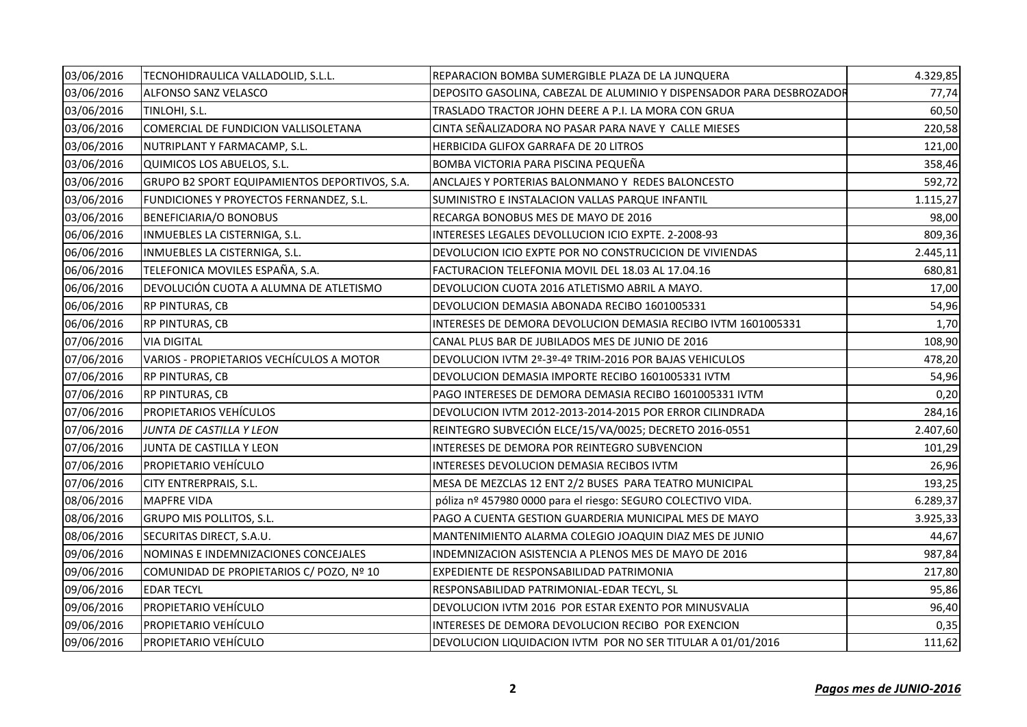| 03/06/2016 | TECNOHIDRAULICA VALLADOLID, S.L.L.            | REPARACION BOMBA SUMERGIBLE PLAZA DE LA JUNQUERA                      | 4.329,85 |
|------------|-----------------------------------------------|-----------------------------------------------------------------------|----------|
| 03/06/2016 | ALFONSO SANZ VELASCO                          | DEPOSITO GASOLINA, CABEZAL DE ALUMINIO Y DISPENSADOR PARA DESBROZADOR | 77,74    |
| 03/06/2016 | TINLOHI, S.L.                                 | TRASLADO TRACTOR JOHN DEERE A P.I. LA MORA CON GRUA                   | 60,50    |
| 03/06/2016 | COMERCIAL DE FUNDICION VALLISOLETANA          | CINTA SEÑALIZADORA NO PASAR PARA NAVE Y CALLE MIESES                  | 220,58   |
| 03/06/2016 | NUTRIPLANT Y FARMACAMP, S.L.                  | HERBICIDA GLIFOX GARRAFA DE 20 LITROS                                 | 121,00   |
| 03/06/2016 | QUIMICOS LOS ABUELOS, S.L.                    | BOMBA VICTORIA PARA PISCINA PEQUEÑA                                   | 358,46   |
| 03/06/2016 | GRUPO B2 SPORT EQUIPAMIENTOS DEPORTIVOS, S.A. | ANCLAJES Y PORTERIAS BALONMANO Y REDES BALONCESTO                     | 592,72   |
| 03/06/2016 | FUNDICIONES Y PROYECTOS FERNANDEZ, S.L.       | SUMINISTRO E INSTALACION VALLAS PARQUE INFANTIL                       | 1.115,27 |
| 03/06/2016 | BENEFICIARIA/O BONOBUS                        | RECARGA BONOBUS MES DE MAYO DE 2016                                   | 98,00    |
| 06/06/2016 | INMUEBLES LA CISTERNIGA, S.L.                 | INTERESES LEGALES DEVOLLUCION ICIO EXPTE. 2-2008-93                   | 809,36   |
| 06/06/2016 | INMUEBLES LA CISTERNIGA, S.L.                 | DEVOLUCION ICIO EXPTE POR NO CONSTRUCICION DE VIVIENDAS               | 2.445,11 |
| 06/06/2016 | TELEFONICA MOVILES ESPAÑA, S.A.               | FACTURACION TELEFONIA MOVIL DEL 18.03 AL 17.04.16                     | 680,81   |
| 06/06/2016 | DEVOLUCIÓN CUOTA A ALUMNA DE ATLETISMO        | DEVOLUCION CUOTA 2016 ATLETISMO ABRIL A MAYO.                         | 17,00    |
| 06/06/2016 | RP PINTURAS, CB                               | DEVOLUCION DEMASIA ABONADA RECIBO 1601005331                          | 54,96    |
| 06/06/2016 | RP PINTURAS, CB                               | INTERESES DE DEMORA DEVOLUCION DEMASIA RECIBO IVTM 1601005331         | 1,70     |
| 07/06/2016 | VIA DIGITAL                                   | CANAL PLUS BAR DE JUBILADOS MES DE JUNIO DE 2016                      | 108,90   |
| 07/06/2016 | VARIOS - PROPIETARIOS VECHÍCULOS A MOTOR      | DEVOLUCION IVTM 2º-3º-4º TRIM-2016 POR BAJAS VEHICULOS                | 478,20   |
| 07/06/2016 | RP PINTURAS, CB                               | DEVOLUCION DEMASIA IMPORTE RECIBO 1601005331 IVTM                     | 54,96    |
| 07/06/2016 | RP PINTURAS, CB                               | PAGO INTERESES DE DEMORA DEMASIA RECIBO 1601005331 IVTM               | 0,20     |
| 07/06/2016 | PROPIETARIOS VEHÍCULOS                        | DEVOLUCION IVTM 2012-2013-2014-2015 POR ERROR CILINDRADA              | 284,16   |
| 07/06/2016 | JUNTA DE CASTILLA Y LEON                      | REINTEGRO SUBVECIÓN ELCE/15/VA/0025; DECRETO 2016-0551                | 2.407,60 |
| 07/06/2016 | JUNTA DE CASTILLA Y LEON                      | INTERESES DE DEMORA POR REINTEGRO SUBVENCION                          | 101,29   |
| 07/06/2016 | PROPIETARIO VEHÍCULO                          | INTERESES DEVOLUCION DEMASIA RECIBOS IVTM                             | 26,96    |
| 07/06/2016 | CITY ENTRERPRAIS, S.L.                        | MESA DE MEZCLAS 12 ENT 2/2 BUSES PARA TEATRO MUNICIPAL                | 193,25   |
| 08/06/2016 | <b>MAPFRE VIDA</b>                            | póliza nº 457980 0000 para el riesgo: SEGURO COLECTIVO VIDA.          | 6.289,37 |
| 08/06/2016 | <b>GRUPO MIS POLLITOS, S.L.</b>               | PAGO A CUENTA GESTION GUARDERIA MUNICIPAL MES DE MAYO                 | 3.925,33 |
| 08/06/2016 | SECURITAS DIRECT, S.A.U.                      | MANTENIMIENTO ALARMA COLEGIO JOAQUIN DIAZ MES DE JUNIO                | 44,67    |
| 09/06/2016 | NOMINAS E INDEMNIZACIONES CONCEJALES          | INDEMNIZACION ASISTENCIA A PLENOS MES DE MAYO DE 2016                 | 987,84   |
| 09/06/2016 | COMUNIDAD DE PROPIETARIOS C/ POZO, Nº 10      | EXPEDIENTE DE RESPONSABILIDAD PATRIMONIA                              | 217,80   |
| 09/06/2016 | EDAR TECYL                                    | RESPONSABILIDAD PATRIMONIAL-EDAR TECYL, SL                            | 95,86    |
| 09/06/2016 | PROPIETARIO VEHÍCULO                          | DEVOLUCION IVTM 2016 POR ESTAR EXENTO POR MINUSVALIA                  | 96,40    |
| 09/06/2016 | PROPIETARIO VEHÍCULO                          | INTERESES DE DEMORA DEVOLUCION RECIBO POR EXENCION                    | 0,35     |
| 09/06/2016 | PROPIETARIO VEHÍCULO                          | DEVOLUCION LIQUIDACION IVTM POR NO SER TITULAR A 01/01/2016           | 111,62   |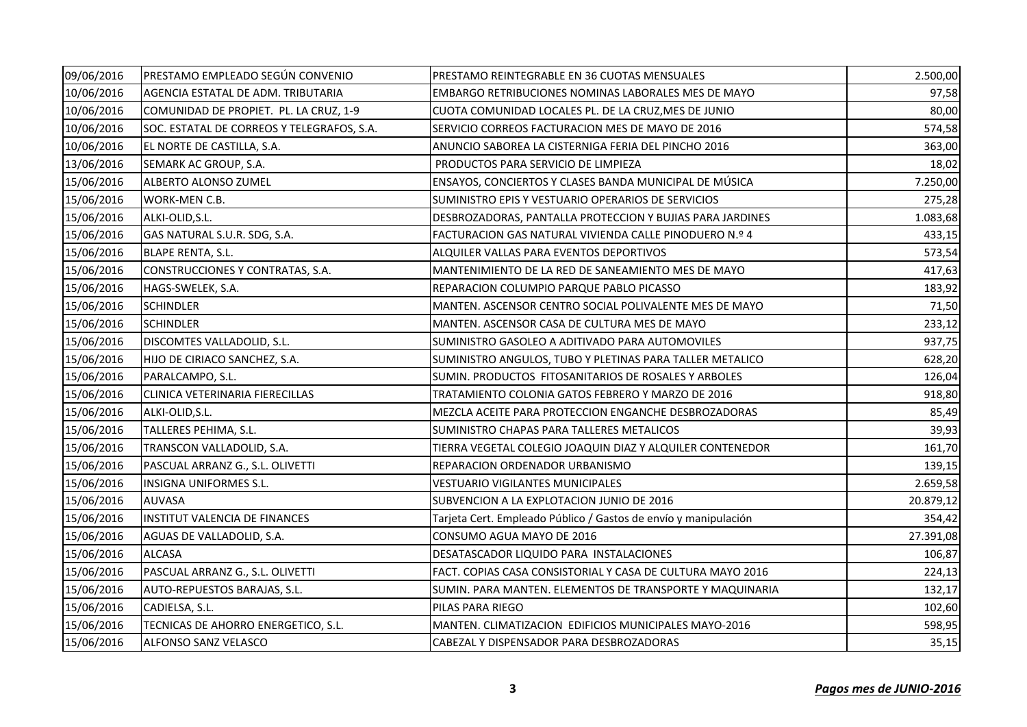| 09/06/2016 | PRESTAMO EMPLEADO SEGÚN CONVENIO           | PRESTAMO REINTEGRABLE EN 36 CUOTAS MENSUALES                    | 2.500,00  |
|------------|--------------------------------------------|-----------------------------------------------------------------|-----------|
| 10/06/2016 | AGENCIA ESTATAL DE ADM. TRIBUTARIA         | EMBARGO RETRIBUCIONES NOMINAS LABORALES MES DE MAYO             | 97,58     |
| 10/06/2016 | COMUNIDAD DE PROPIET. PL. LA CRUZ, 1-9     | CUOTA COMUNIDAD LOCALES PL. DE LA CRUZ, MES DE JUNIO            | 80,00     |
| 10/06/2016 | SOC. ESTATAL DE CORREOS Y TELEGRAFOS, S.A. | SERVICIO CORREOS FACTURACION MES DE MAYO DE 2016                | 574,58    |
| 10/06/2016 | EL NORTE DE CASTILLA, S.A.                 | ANUNCIO SABOREA LA CISTERNIGA FERIA DEL PINCHO 2016             | 363,00    |
| 13/06/2016 | SEMARK AC GROUP, S.A.                      | PRODUCTOS PARA SERVICIO DE LIMPIEZA                             | 18,02     |
| 15/06/2016 | ALBERTO ALONSO ZUMEL                       | ENSAYOS, CONCIERTOS Y CLASES BANDA MUNICIPAL DE MÚSICA          | 7.250,00  |
| 15/06/2016 | WORK-MEN C.B.                              | SUMINISTRO EPIS Y VESTUARIO OPERARIOS DE SERVICIOS              | 275,28    |
| 15/06/2016 | ALKI-OLID, S.L.                            | DESBROZADORAS, PANTALLA PROTECCION Y BUJIAS PARA JARDINES       | 1.083,68  |
| 15/06/2016 | GAS NATURAL S.U.R. SDG, S.A.               | FACTURACION GAS NATURAL VIVIENDA CALLE PINODUERO N.º 4          | 433,15    |
| 15/06/2016 | <b>BLAPE RENTA, S.L.</b>                   | ALQUILER VALLAS PARA EVENTOS DEPORTIVOS                         | 573,54    |
| 15/06/2016 | CONSTRUCCIONES Y CONTRATAS, S.A.           | MANTENIMIENTO DE LA RED DE SANEAMIENTO MES DE MAYO              | 417,63    |
| 15/06/2016 | HAGS-SWELEK, S.A.                          | REPARACION COLUMPIO PARQUE PABLO PICASSO                        | 183,92    |
| 15/06/2016 | <b>SCHINDLER</b>                           | MANTEN. ASCENSOR CENTRO SOCIAL POLIVALENTE MES DE MAYO          | 71,50     |
| 15/06/2016 | <b>SCHINDLER</b>                           | MANTEN. ASCENSOR CASA DE CULTURA MES DE MAYO                    | 233,12    |
| 15/06/2016 | DISCOMTES VALLADOLID, S.L.                 | SUMINISTRO GASOLEO A ADITIVADO PARA AUTOMOVILES                 | 937,75    |
| 15/06/2016 | HIJO DE CIRIACO SANCHEZ, S.A.              | SUMINISTRO ANGULOS, TUBO Y PLETINAS PARA TALLER METALICO        | 628,20    |
| 15/06/2016 | PARALCAMPO, S.L.                           | SUMIN. PRODUCTOS FITOSANITARIOS DE ROSALES Y ARBOLES            | 126,04    |
| 15/06/2016 | CLINICA VETERINARIA FIERECILLAS            | TRATAMIENTO COLONIA GATOS FEBRERO Y MARZO DE 2016               | 918,80    |
| 15/06/2016 | ALKI-OLID, S.L.                            | MEZCLA ACEITE PARA PROTECCION ENGANCHE DESBROZADORAS            | 85,49     |
| 15/06/2016 | TALLERES PEHIMA, S.L.                      | SUMINISTRO CHAPAS PARA TALLERES METALICOS                       | 39,93     |
| 15/06/2016 | TRANSCON VALLADOLID, S.A.                  | TIERRA VEGETAL COLEGIO JOAQUIN DIAZ Y ALQUILER CONTENEDOR       | 161,70    |
| 15/06/2016 | PASCUAL ARRANZ G., S.L. OLIVETTI           | REPARACION ORDENADOR URBANISMO                                  | 139,15    |
| 15/06/2016 | <b>INSIGNA UNIFORMES S.L.</b>              | VESTUARIO VIGILANTES MUNICIPALES                                | 2.659,58  |
| 15/06/2016 | <b>AUVASA</b>                              | SUBVENCION A LA EXPLOTACION JUNIO DE 2016                       | 20.879,12 |
| 15/06/2016 | INSTITUT VALENCIA DE FINANCES              | Tarjeta Cert. Empleado Público / Gastos de envío y manipulación | 354,42    |
| 15/06/2016 | AGUAS DE VALLADOLID, S.A.                  | CONSUMO AGUA MAYO DE 2016                                       | 27.391,08 |
| 15/06/2016 | <b>ALCASA</b>                              | DESATASCADOR LIQUIDO PARA INSTALACIONES                         | 106,87    |
| 15/06/2016 | PASCUAL ARRANZ G., S.L. OLIVETTI           | FACT. COPIAS CASA CONSISTORIAL Y CASA DE CULTURA MAYO 2016      | 224,13    |
| 15/06/2016 | AUTO-REPUESTOS BARAJAS, S.L.               | SUMIN. PARA MANTEN. ELEMENTOS DE TRANSPORTE Y MAQUINARIA        | 132,17    |
| 15/06/2016 | CADIELSA, S.L.                             | PILAS PARA RIEGO                                                | 102,60    |
| 15/06/2016 | TECNICAS DE AHORRO ENERGETICO, S.L.        | MANTEN. CLIMATIZACION EDIFICIOS MUNICIPALES MAYO-2016           | 598,95    |
| 15/06/2016 | <b>ALFONSO SANZ VELASCO</b>                | CABEZAL Y DISPENSADOR PARA DESBROZADORAS                        | 35,15     |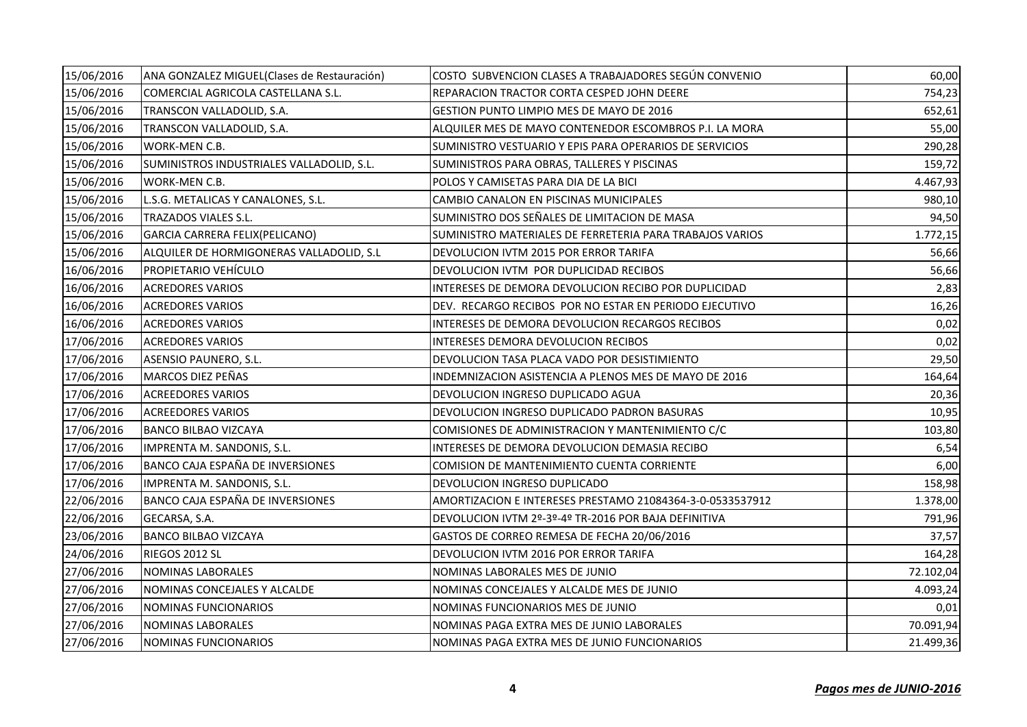| 15/06/2016 | ANA GONZALEZ MIGUEL(Clases de Restauración) | COSTO  SUBVENCION CLASES A TRABAJADORES SEGUN CONVENIO    | 60,00     |
|------------|---------------------------------------------|-----------------------------------------------------------|-----------|
| 15/06/2016 | COMERCIAL AGRICOLA CASTELLANA S.L.          | REPARACION TRACTOR CORTA CESPED JOHN DEERE                | 754,23    |
| 15/06/2016 | TRANSCON VALLADOLID, S.A.                   | GESTION PUNTO LIMPIO MES DE MAYO DE 2016                  | 652,61    |
| 15/06/2016 | TRANSCON VALLADOLID, S.A.                   | ALQUILER MES DE MAYO CONTENEDOR ESCOMBROS P.I. LA MORA    | 55,00     |
| 15/06/2016 | WORK-MEN C.B.                               | SUMINISTRO VESTUARIO Y EPIS PARA OPERARIOS DE SERVICIOS   | 290,28    |
| 15/06/2016 | SUMINISTROS INDUSTRIALES VALLADOLID, S.L.   | SUMINISTROS PARA OBRAS, TALLERES Y PISCINAS               | 159,72    |
| 15/06/2016 | WORK-MEN C.B.                               | POLOS Y CAMISETAS PARA DIA DE LA BICI                     | 4.467,93  |
| 15/06/2016 | L.S.G. METALICAS Y CANALONES, S.L.          | CAMBIO CANALON EN PISCINAS MUNICIPALES                    | 980,10    |
| 15/06/2016 | TRAZADOS VIALES S.L.                        | SUMINISTRO DOS SEÑALES DE LIMITACION DE MASA              | 94,50     |
| 15/06/2016 | GARCIA CARRERA FELIX(PELICANO)              | SUMINISTRO MATERIALES DE FERRETERIA PARA TRABAJOS VARIOS  | 1.772,15  |
| 15/06/2016 | ALQUILER DE HORMIGONERAS VALLADOLID, S.L    | DEVOLUCION IVTM 2015 POR ERROR TARIFA                     | 56,66     |
| 16/06/2016 | PROPIETARIO VEHÍCULO                        | DEVOLUCION IVTM POR DUPLICIDAD RECIBOS                    | 56,66     |
| 16/06/2016 | <b>ACREDORES VARIOS</b>                     | INTERESES DE DEMORA DEVOLUCION RECIBO POR DUPLICIDAD      | 2,83      |
| 16/06/2016 | <b>ACREDORES VARIOS</b>                     | DEV. RECARGO RECIBOS POR NO ESTAR EN PERIODO EJECUTIVO    | 16,26     |
| 16/06/2016 | <b>ACREDORES VARIOS</b>                     | INTERESES DE DEMORA DEVOLUCION RECARGOS RECIBOS           | 0,02      |
| 17/06/2016 | <b>ACREDORES VARIOS</b>                     | INTERESES DEMORA DEVOLUCION RECIBOS                       | 0,02      |
| 17/06/2016 | ASENSIO PAUNERO, S.L.                       | DEVOLUCION TASA PLACA VADO POR DESISTIMIENTO              | 29,50     |
| 17/06/2016 | MARCOS DIEZ PEÑAS                           | INDEMNIZACION ASISTENCIA A PLENOS MES DE MAYO DE 2016     | 164,64    |
| 17/06/2016 | <b>ACREEDORES VARIOS</b>                    | DEVOLUCION INGRESO DUPLICADO AGUA                         | 20,36     |
| 17/06/2016 | <b>ACREEDORES VARIOS</b>                    | DEVOLUCION INGRESO DUPLICADO PADRON BASURAS               | 10,95     |
| 17/06/2016 | <b>BANCO BILBAO VIZCAYA</b>                 | COMISIONES DE ADMINISTRACION Y MANTENIMIENTO C/C          | 103,80    |
| 17/06/2016 | IMPRENTA M. SANDONIS, S.L.                  | INTERESES DE DEMORA DEVOLUCION DEMASIA RECIBO             | 6,54      |
| 17/06/2016 | BANCO CAJA ESPAÑA DE INVERSIONES            | COMISION DE MANTENIMIENTO CUENTA CORRIENTE                | 6,00      |
| 17/06/2016 | IMPRENTA M. SANDONIS, S.L.                  | DEVOLUCION INGRESO DUPLICADO                              | 158,98    |
| 22/06/2016 | BANCO CAJA ESPAÑA DE INVERSIONES            | AMORTIZACION E INTERESES PRESTAMO 21084364-3-0-0533537912 | 1.378,00  |
| 22/06/2016 | GECARSA, S.A.                               | DEVOLUCION IVTM 2º-3º-4º TR-2016 POR BAJA DEFINITIVA      | 791,96    |
| 23/06/2016 | <b>BANCO BILBAO VIZCAYA</b>                 | GASTOS DE CORREO REMESA DE FECHA 20/06/2016               | 37,57     |
| 24/06/2016 | RIEGOS 2012 SL                              | DEVOLUCION IVTM 2016 POR ERROR TARIFA                     | 164,28    |
| 27/06/2016 | NOMINAS LABORALES                           | NOMINAS LABORALES MES DE JUNIO                            | 72.102,04 |
| 27/06/2016 | NOMINAS CONCEJALES Y ALCALDE                | NOMINAS CONCEJALES Y ALCALDE MES DE JUNIO                 | 4.093,24  |
| 27/06/2016 | NOMINAS FUNCIONARIOS                        | NOMINAS FUNCIONARIOS MES DE JUNIO                         | 0,01      |
| 27/06/2016 | <b>NOMINAS LABORALES</b>                    | NOMINAS PAGA EXTRA MES DE JUNIO LABORALES                 | 70.091,94 |
| 27/06/2016 | <b>NOMINAS FUNCIONARIOS</b>                 | NOMINAS PAGA EXTRA MES DE JUNIO FUNCIONARIOS              | 21.499,36 |